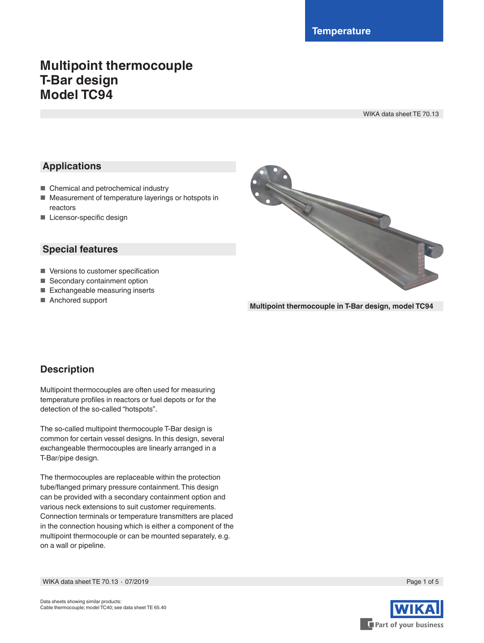# **Multipoint thermocouple T-Bar design Model TC94**

WIKA data sheet TE 70.13

# **Applications**

- Chemical and petrochemical industry
- Measurement of temperature layerings or hotspots in reactors
- Licensor-specific design

### **Special features**

- Versions to customer specification
- Secondary containment option
- Exchangeable measuring inserts
- Anchored support



**Multipoint thermocouple in T-Bar design, model TC94**

### **Description**

Multipoint thermocouples are often used for measuring temperature profiles in reactors or fuel depots or for the detection of the so-called "hotspots".

The so-called multipoint thermocouple T-Bar design is common for certain vessel designs. In this design, several exchangeable thermocouples are linearly arranged in a T-Bar/pipe design.

The thermocouples are replaceable within the protection tube/flanged primary pressure containment. This design can be provided with a secondary containment option and various neck extensions to suit customer requirements. Connection terminals or temperature transmitters are placed in the connection housing which is either a component of the multipoint thermocouple or can be mounted separately, e.g. on a wall or pipeline.



WIKA data sheet TE 70.13 ⋅ 07/2019 Page 1 of 5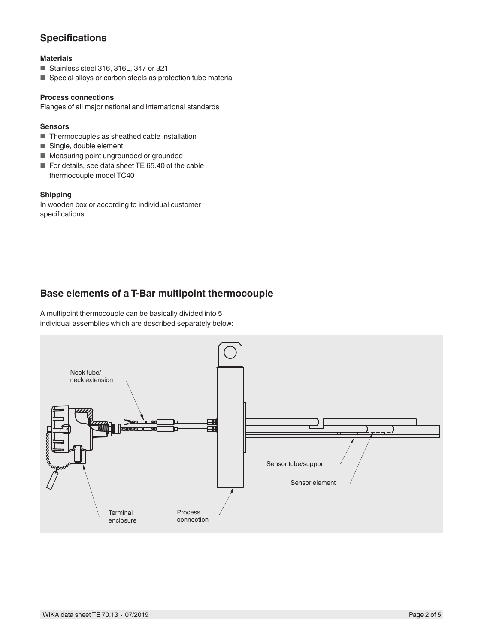# **Specifications**

### **Materials**

- Stainless steel 316, 316L, 347 or 321
- Special alloys or carbon steels as protection tube material

#### **Process connections**

Flanges of all major national and international standards

### **Sensors**

- Thermocouples as sheathed cable installation
- Single, double element
- Measuring point ungrounded or grounded
- For details, see data sheet TE 65.40 of the cable thermocouple model TC40

### **Shipping**

In wooden box or according to individual customer specifications

### **Base elements of a T-Bar multipoint thermocouple**

A multipoint thermocouple can be basically divided into 5 individual assemblies which are described separately below:

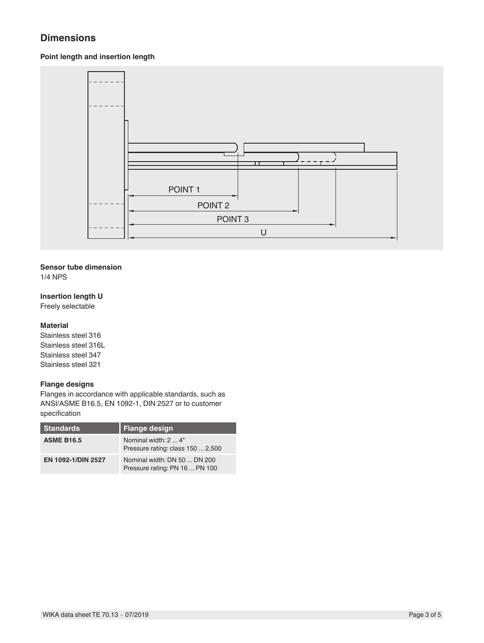# **Dimensions**

### **Point length and insertion length**



### **Sensor tube dimension**

1/4 NPS

### **Insertion length U**

Freely selectable

### **Material**

Stainless steel 316 Stainless steel 316L Stainless steel 347 Stainless steel 321

### **Flange designs**

Flanges in accordance with applicable standards, such as ANSI/ASME B16.5, EN 1092-1, DIN 2527 or to customer specification

| <b>Standards</b>   | <b>Flange design</b>                                           |
|--------------------|----------------------------------------------------------------|
| <b>ASME B16.5</b>  | Nominal width: 2  4"<br>Pressure rating: class 150  2,500      |
| EN 1092-1/DIN 2527 | Nominal width: DN 50  DN 200<br>Pressure rating: PN 16  PN 100 |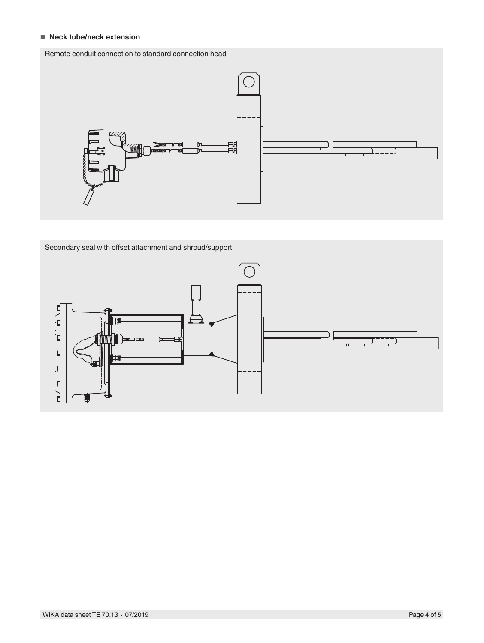### ■ **Neck tube/neck extension**

### Remote conduit connection to standard connection head Remote conduit connection to standard connection head



Secondary seal with offset attachment and shroud/support